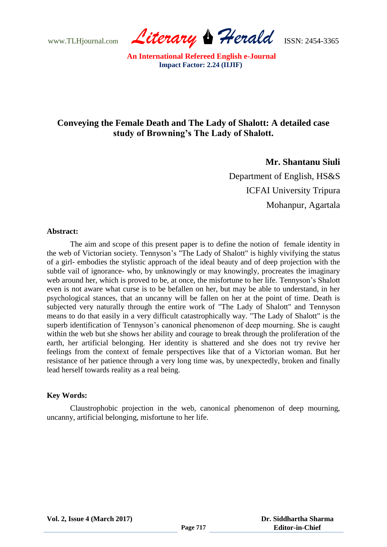www.TLHjournal.com *Literary Herald*ISSN: 2454-3365

# **Conveying the Female Death and The Lady of Shalott: A detailed case study of Browning's The Lady of Shalott.**

**Mr. Shantanu Siuli**

Department of English, HS&S ICFAI University Tripura Mohanpur, Agartala

### **Abstract:**

The aim and scope of this present paper is to define the notion of female identity in the web of Victorian society. Tennyson"s "The Lady of Shalott" is highly vivifying the status of a girl- embodies the stylistic approach of the ideal beauty and of deep projection with the subtle vail of ignorance- who, by unknowingly or may knowingly, procreates the imaginary web around her, which is proved to be, at once, the misfortune to her life. Tennyson's Shalott even is not aware what curse is to be befallen on her, but may be able to understand, in her psychological stances, that an uncanny will be fallen on her at the point of time. Death is subjected very naturally through the entire work of "The Lady of Shalott" and Tennyson means to do that easily in a very difficult catastrophically way. "The Lady of Shalott" is the superb identification of Tennyson's canonical phenomenon of deep mourning. She is caught within the web but she shows her ability and courage to break through the proliferation of the earth, her artificial belonging. Her identity is shattered and she does not try revive her feelings from the context of female perspectives like that of a Victorian woman. But her resistance of her patience through a very long time was, by unexpectedly, broken and finally lead herself towards reality as a real being.

### **Key Words:**

Claustrophobic projection in the web, canonical phenomenon of deep mourning, uncanny, artificial belonging, misfortune to her life.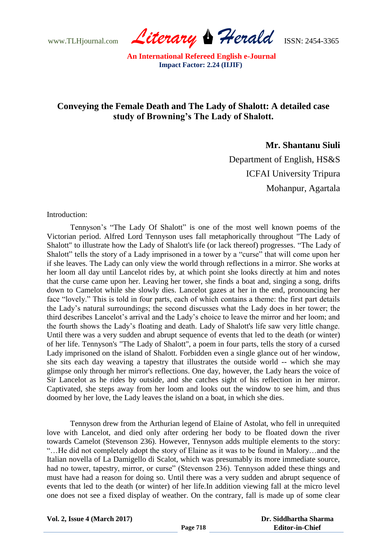www.TLHjournal.com *Literary Herald*ISSN: 2454-3365

## **Conveying the Female Death and The Lady of Shalott: A detailed case study of Browning's The Lady of Shalott.**

**Mr. Shantanu Siuli**

Department of English, HS&S ICFAI University Tripura Mohanpur, Agartala

Introduction:

Tennyson"s "The Lady Of Shalott" is one of the most well known poems of the Victorian period. Alfred Lord Tennyson uses fall metaphorically throughout "The Lady of Shalott" to illustrate how the Lady of Shalott's life (or lack thereof) progresses. "The Lady of Shalott" tells the story of a Lady imprisoned in a tower by a "curse" that will come upon her if she leaves. The Lady can only view the world through reflections in a mirror. She works at her loom all day until Lancelot rides by, at which point she looks directly at him and notes that the curse came upon her. Leaving her tower, she finds a boat and, singing a song, drifts down to Camelot while she slowly dies. Lancelot gazes at her in the end, pronouncing her face "lovely." This is told in four parts, each of which contains a theme: the first part details the Lady"s natural surroundings; the second discusses what the Lady does in her tower; the third describes Lancelot"s arrival and the Lady"s choice to leave the mirror and her loom; and the fourth shows the Lady"s floating and death. Lady of Shalott's life saw very little change. Until there was a very sudden and abrupt sequence of events that led to the death (or winter) of her life. Tennyson's "The Lady of Shalott", a poem in four parts, tells the story of a cursed Lady imprisoned on the island of Shalott. Forbidden even a single glance out of her window, she sits each day weaving a tapestry that illustrates the outside world -- which she may glimpse only through her mirror's reflections. One day, however, the Lady hears the voice of Sir Lancelot as he rides by outside, and she catches sight of his reflection in her mirror. Captivated, she steps away from her loom and looks out the window to see him, and thus doomed by her love, the Lady leaves the island on a boat, in which she dies.

Tennyson drew from the Arthurian legend of Elaine of Astolat, who fell in unrequited love with Lancelot, and died only after ordering her body to be floated down the river towards Camelot (Stevenson 236). However, Tennyson adds multiple elements to the story: "…He did not completely adopt the story of Elaine as it was to be found in Malory…and the Italian novella of La Damigello di Scalot, which was presumably its more immediate source, had no tower, tapestry, mirror, or curse" (Stevenson 236). Tennyson added these things and must have had a reason for doing so. Until there was a very sudden and abrupt sequence of events that led to the death (or winter) of her life.In addition viewing fall at the micro level one does not see a fixed display of weather. On the contrary, fall is made up of some clear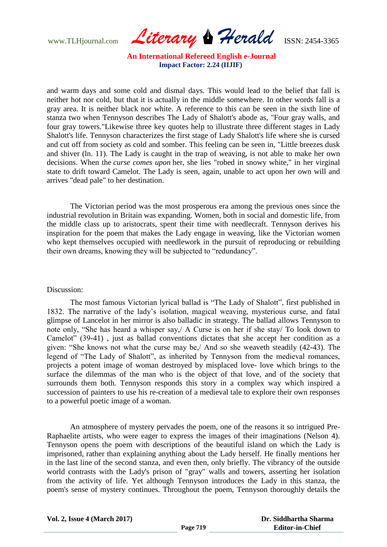www.TLHjournal.com *Literary Herald*ISSN: 2454-3365

and warm days and some cold and dismal days. This would lead to the belief that fall is neither hot nor cold, but that it is actually in the middle somewhere. In other words fall is a gray area. It is neither black nor white. A reference to this can be seen in the sixth line of stanza two when Tennyson describes The Lady of Shalott's abode as, "Four gray walls, and four gray towers."Likewise three key quotes help to illustrate three different stages in Lady Shalott's life. Tennyson characterizes the first stage of Lady Shalott's life where she is cursed and cut off from society as cold and somber. This feeling can be seen in, "Little breezes dusk and shiver (ln. 11). The Lady is caught in the trap of weaving, is not able to make her own decisions. When the *curse comes upon* her, she lies "robed in snowy white," in her virginal state to drift toward Camelot. The Lady is seen, again, unable to act upon her own will and arrives "dead pale" to her destination.

The Victorian period was the most prosperous era among the previous ones since the industrial revolution in Britain was expanding. Women, both in social and domestic life, from the middle class up to aristocrats, spent their time with needlecraft. Tennyson derives his inspiration for the poem that makes the Lady engage in weaving, like the Victorian women who kept themselves occupied with needlework in the pursuit of reproducing or rebuilding their own dreams, knowing they will be subjected to "redundancy".

### Discussion:

The most famous Victorian lyrical ballad is "The Lady of Shalott", first published in 1832. The narrative of the lady"s isolation, magical weaving, mysterious curse, and fatal glimpse of Lancelot in her mirror is also balladic in strategy. The ballad allows Tennyson to note only, "She has heard a whisper say,/ A Curse is on her if she stay/ To look down to Camelot" (39-41) , just as ballad conventions dictates that she accept her condition as a given: "She knows not what the curse may be,/ And so she weaveth steadily (42-43). The legend of "The Lady of Shalott", as inherited by Tennyson from the medieval romances, projects a potent image of woman destroyed by misplaced love- love which brings to the surface the dilemmas of the man who is the object of that love, and of the society that surrounds them both. Tennyson responds this story in a complex way which inspired a succession of painters to use his re-creation of a medieval tale to explore their own responses to a powerful poetic image of a woman.

An atmosphere of mystery pervades the poem, one of the reasons it so intrigued Pre-Raphaelite artists, who were eager to express the images of their imaginations (Nelson 4). Tennyson opens the poem with descriptions of the beautiful island on which the Lady is imprisoned, rather than explaining anything about the Lady herself. He finally mentions her in the last line of the second stanza, and even then, only briefly. The vibrancy of the outside world contrasts with the Lady's prison of "gray" walls and towers, asserting her isolation from the activity of life. Yet although Tennyson introduces the Lady in this stanza, the poem's sense of mystery continues. Throughout the poem, Tennyson thoroughly details the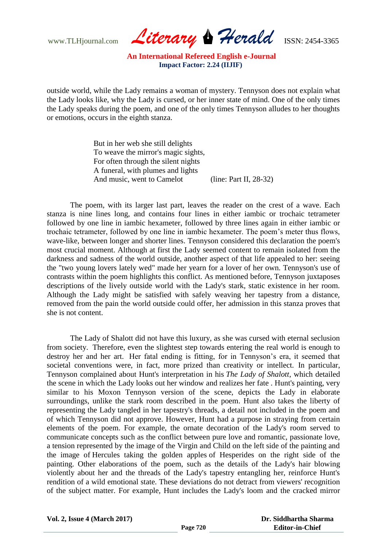www.TLHjournal.com *Literary Herald*ISSN: 2454-3365

outside world, while the Lady remains a woman of mystery. Tennyson does not explain what the Lady looks like, why the Lady is cursed, or her inner state of mind. One of the only times the Lady speaks during the poem, and one of the only times Tennyson alludes to her thoughts or emotions, occurs in the eighth stanza.

> But in her web she still delights To weave the mirror's magic sights, For often through the silent nights A funeral, with plumes and lights And music, went to Camelot (line: Part II, 28-32)

The poem, with its larger last part, leaves the reader on the crest of a wave. Each stanza is nine lines long, and contains four lines in either iambic or trochaic tetrameter followed by one line in iambic hexameter, followed by three lines again in either iambic or trochaic tetrameter, followed by one line in iambic hexameter. The poem"s meter thus flows, wave-like, between longer and shorter lines. Tennyson considered this declaration the poem's most crucial moment. Although at first the Lady seemed content to remain isolated from the darkness and sadness of the world outside, another aspect of that life appealed to her: seeing the "two young lovers lately wed" made her yearn for a lover of her own. Tennyson's use of contrasts within the poem highlights this conflict. As mentioned before, Tennyson juxtaposes descriptions of the lively outside world with the Lady's stark, static existence in her room. Although the Lady might be satisfied with safely weaving her tapestry from a distance, removed from the pain the world outside could offer, her admission in this stanza proves that she is not content.

The Lady of Shalott did not have this luxury, as she was cursed with eternal seclusion from society. Therefore, even the slightest step towards entering the real world is enough to destroy her and her art. Her fatal ending is fitting, for in Tennyson's era, it seemed that societal conventions were, in fact, more prized than creativity or intellect. In particular, Tennyson complained about Hunt's interpretation in his *The Lady of Shalott*, which detailed the scene in which the Lady looks out her window and realizes her fate . Hunt's painting, very similar to his Moxon Tennyson version of the scene, depicts the Lady in elaborate surroundings, unlike the stark room described in the poem. Hunt also takes the liberty of representing the Lady tangled in her tapestry's threads, a detail not included in the poem and of which Tennyson did not approve. However, Hunt had a purpose in straying from certain elements of the poem. For example, the ornate decoration of the Lady's room served to communicate concepts such as the conflict between pure love and romantic, passionate love, a tension represented by the image of the Virgin and Child on the left side of the painting and the image of Hercules taking the golden apples of Hesperides on the right side of the painting. Other elaborations of the poem, such as the details of the Lady's hair blowing violently about her and the threads of the Lady's tapestry entangling her, reinforce Hunt's rendition of a wild emotional state. These deviations do not detract from viewers' recognition of the subject matter. For example, Hunt includes the Lady's loom and the cracked mirror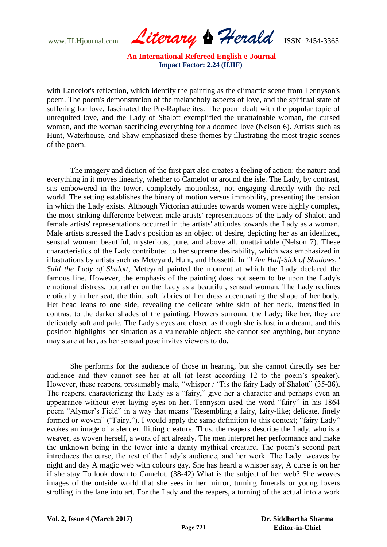www.TLHjournal.com *Literary Herald*ISSN: 2454-3365

with Lancelot's reflection, which identify the painting as the climactic scene from Tennyson's poem. The poem's demonstration of the melancholy aspects of love, and the spiritual state of suffering for love, fascinated the Pre-Raphaelites. The poem dealt with the popular topic of unrequited love, and the Lady of Shalott exemplified the unattainable woman, the cursed woman, and the woman sacrificing everything for a doomed love (Nelson 6). Artists such as Hunt, Waterhouse, and Shaw emphasized these themes by illustrating the most tragic scenes of the poem.

The imagery and diction of the first part also creates a feeling of action; the nature and everything in it moves linearly, whether to Camelot or around the isle. The Lady, by contrast, sits embowered in the tower, completely motionless, not engaging directly with the real world. The setting establishes the binary of motion versus immobility, presenting the tension in which the Lady exists. Although Victorian attitudes towards women were highly complex, the most striking difference between male artists' representations of the Lady of Shalott and female artists' representations occurred in the artists' attitudes towards the Lady as a woman. Male artists stressed the Lady's position as an object of desire, depicting her as an idealized, sensual woman: beautiful, mysterious, pure, and above all, unattainable (Nelson 7). These characteristics of the Lady contributed to her supreme desirability, which was emphasized in illustrations by artists such as Meteyard, Hunt, and Rossetti. In *"I Am Half-Sick of Shadows," Said the Lady of Shalott*, Meteyard painted the moment at which the Lady declared the famous line. However, the emphasis of the painting does not seem to be upon the Lady's emotional distress, but rather on the Lady as a beautiful, sensual woman. The Lady reclines erotically in her seat, the thin, soft fabrics of her dress accentuating the shape of her body. Her head leans to one side, revealing the delicate white skin of her neck, intensified in contrast to the darker shades of the painting. Flowers surround the Lady; like her, they are delicately soft and pale. The Lady's eyes are closed as though she is lost in a dream, and this position highlights her situation as a vulnerable object: she cannot see anything, but anyone may stare at her, as her sensual pose invites viewers to do.

She performs for the audience of those in hearing, but she cannot directly see her audience and they cannot see her at all (at least according 12 to the poem"s speaker). However, these reapers, presumably male, "whisper / 'Tis the fairy Lady of Shalott" (35-36). The reapers, characterizing the Lady as a "fairy," give her a character and perhaps even an appearance without ever laying eyes on her. Tennyson used the word "fairy" in his 1864 poem "Alymer"s Field" in a way that means "Resembling a fairy, fairy-like; delicate, finely formed or woven" ("Fairy."). I would apply the same definition to this context; "fairy Lady" evokes an image of a slender, flitting creature. Thus, the reapers describe the Lady, who is a weaver, as woven herself, a work of art already. The men interpret her performance and make the unknown being in the tower into a dainty mythical creature. The poem"s second part introduces the curse, the rest of the Lady"s audience, and her work. The Lady: weaves by night and day A magic web with colours gay. She has heard a whisper say, A curse is on her if she stay To look down to Camelot. (38-42) What is the subject of her web? She weaves images of the outside world that she sees in her mirror, turning funerals or young lovers strolling in the lane into art. For the Lady and the reapers, a turning of the actual into a work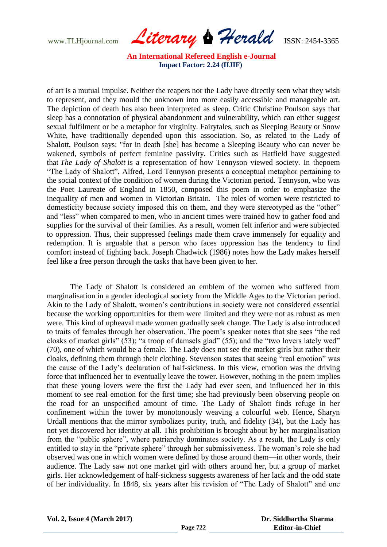www.TLHjournal.com *Literary Herald*ISSN: 2454-3365

of art is a mutual impulse. Neither the reapers nor the Lady have directly seen what they wish to represent, and they mould the unknown into more easily accessible and manageable art. The depiction of death has also been interpreted as sleep. Critic Christine Poulson says that sleep has a connotation of physical abandonment and vulnerability, which can either suggest sexual fulfilment or be a metaphor for virginity. Fairytales, such as Sleeping Beauty or Snow White, have traditionally depended upon this association. So, as related to the Lady of Shalott, Poulson says: "for in death [she] has become a Sleeping Beauty who can never be wakened, symbols of perfect feminine passivity. Critics such as Hatfield have suggested that *The Lady of Shalott* is a representation of how Tennyson viewed society. In thepoem "The Lady of Shalott", Alfred, Lord Tennyson presents a conceptual metaphor pertaining to the social context of the condition of women during the Victorian period. Tennyson, who was the Poet Laureate of England in 1850, composed this poem in order to emphasize the inequality of men and women in Victorian Britain. The roles of women were restricted to domesticity because society imposed this on them, and they were stereotyped as the "other" and "less" when compared to men, who in ancient times were trained how to gather food and supplies for the survival of their families. As a result, women felt inferior and were subjected to oppression. Thus, their suppressed feelings made them crave immensely for equality and redemption. It is arguable that a person who faces oppression has the tendency to find comfort instead of fighting back. Joseph Chadwick (1986) notes how the Lady makes herself feel like a free person through the tasks that have been given to her.

The Lady of Shalott is considered an emblem of the women who suffered from marginalisation in a gender ideological society from the Middle Ages to the Victorian period. Akin to the Lady of Shalott, women"s contributions in society were not considered essential because the working opportunities for them were limited and they were not as robust as men were. This kind of upheaval made women gradually seek change. The Lady is also introduced to traits of females through her observation. The poem"s speaker notes that she sees "the red cloaks of market girls" (53); "a troop of damsels glad" (55); and the "two lovers lately wed" (70), one of which would be a female. The Lady does not see the market girls but rather their cloaks, defining them through their clothing. Stevenson states that seeing "real emotion" was the cause of the Lady"s declaration of half-sickness. In this view, emotion was the driving force that influenced her to eventually leave the tower. However, nothing in the poem implies that these young lovers were the first the Lady had ever seen, and influenced her in this moment to see real emotion for the first time; she had previously been observing people on the road for an unspecified amount of time. The Lady of Shalott finds refuge in her confinement within the tower by monotonously weaving a colourful web. Hence, Sharyn Urdall mentions that the mirror symbolizes purity, truth, and fidelity (34), but the Lady has not yet discovered her identity at all. This prohibition is brought about by her marginalisation from the "public sphere", where patriarchy dominates society. As a result, the Lady is only entitled to stay in the "private sphere" through her submissiveness. The woman"s role she had observed was one in which women were defined by those around them—in other words, their audience. The Lady saw not one market girl with others around her, but a group of market girls. Her acknowledgement of half-sickness suggests awareness of her lack and the odd state of her individuality. In 1848, six years after his revision of "The Lady of Shalott" and one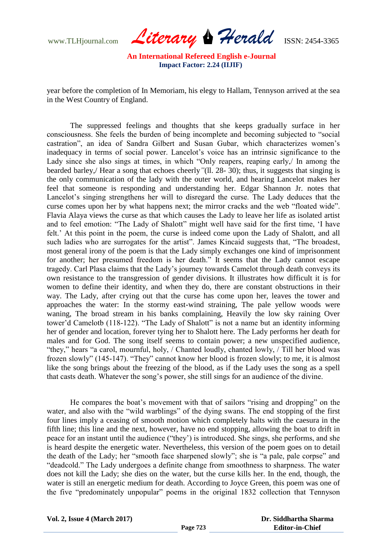www.TLHjournal.com *Literary Herald*ISSN: 2454-3365

year before the completion of In Memoriam, his elegy to Hallam, Tennyson arrived at the sea in the West Country of England.

The suppressed feelings and thoughts that she keeps gradually surface in her consciousness. She feels the burden of being incomplete and becoming subjected to "social castration", an idea of Sandra Gilbert and Susan Gubar, which characterizes women"s inadequacy in terms of social power. Lancelot's voice has an intrinsic significance to the Lady since she also sings at times, in which "Only reapers, reaping early, In among the bearded barley,/ Hear a song that echoes cheerly*"*(ll. 28- 30); thus, it suggests that singing is the only communication of the lady with the outer world, and hearing Lancelot makes her feel that someone is responding and understanding her. Edgar Shannon Jr. notes that Lancelot's singing strengthens her will to disregard the curse. The Lady deduces that the curse comes upon her by what happens next; the mirror cracks and the web "floated wide". Flavia Alaya views the curse as that which causes the Lady to leave her life as isolated artist and to feel emotion: "The Lady of Shalott" might well have said for the first time, "I have felt." At this point in the poem, the curse is indeed come upon the Lady of Shalott, and all such ladies who are surrogates for the artist". James Kincaid suggests that, "The broadest, most general irony of the poem is that the Lady simply exchanges one kind of imprisonment for another; her presumed freedom is her death." It seems that the Lady cannot escape tragedy. Carl Plasa claims that the Lady"s journey towards Camelot through death conveys its own resistance to the transgression of gender divisions. It illustrates how difficult it is for women to define their identity, and when they do, there are constant obstructions in their way. The Lady, after crying out that the curse has come upon her, leaves the tower and approaches the water: In the stormy east-wind straining, The pale yellow woods were waning, The broad stream in his banks complaining, Heavily the low sky raining Over tower'd Camelotb (118-122). "The Lady of Shalott" is not a name but an identity informing her of gender and location, forever tying her to Shalott here. The Lady performs her death for males and for God. The song itself seems to contain power; a new unspecified audience, "they," hears "a carol, mournful, holy, / Chanted loudly, chanted lowly, / Till her blood was frozen slowly" (145-147). "They" cannot know her blood is frozen slowly; to me, it is almost like the song brings about the freezing of the blood, as if the Lady uses the song as a spell that casts death. Whatever the song's power, she still sings for an audience of the divine.

He compares the boat"s movement with that of sailors "rising and dropping" on the water, and also with the "wild warblings" of the dying swans. The end stopping of the first four lines imply a ceasing of smooth motion which completely halts with the caesura in the fifth line; this line and the next, however, have no end stopping, allowing the boat to drift in peace for an instant until the audience ("they") is introduced. She sings, she performs, and she is heard despite the energetic water. Nevertheless, this version of the poem goes on to detail the death of the Lady; her "smooth face sharpened slowly"; she is "a pale, pale corpse" and "deadcold." The Lady undergoes a definite change from smoothness to sharpness. The water does not kill the Lady; she dies on the water, but the curse kills her. In the end, though, the water is still an energetic medium for death. According to Joyce Green, this poem was one of the five "predominately unpopular" poems in the original 1832 collection that Tennyson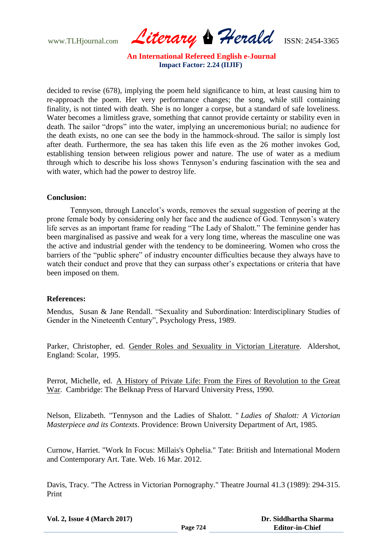www.TLHjournal.com *Literary Herald*ISSN: 2454-3365

decided to revise (678), implying the poem held significance to him, at least causing him to re-approach the poem. Her very performance changes; the song, while still containing finality, is not tinted with death. She is no longer a corpse, but a standard of safe loveliness. Water becomes a limitless grave, something that cannot provide certainty or stability even in death. The sailor "drops" into the water, implying an unceremonious burial; no audience for the death exists, no one can see the body in the hammock-shroud. The sailor is simply lost after death. Furthermore, the sea has taken this life even as the 26 mother invokes God, establishing tension between religious power and nature. The use of water as a medium through which to describe his loss shows Tennyson"s enduring fascination with the sea and with water, which had the power to destroy life.

### **Conclusion:**

Tennyson, through Lancelot"s words, removes the sexual suggestion of peering at the prone female body by considering only her face and the audience of God. Tennyson"s watery life serves as an important frame for reading "The Lady of Shalott." The feminine gender has been marginalised as passive and weak for a very long time, whereas the masculine one was the active and industrial gender with the tendency to be domineering. Women who cross the barriers of the "public sphere" of industry encounter difficulties because they always have to watch their conduct and prove that they can surpass other's expectations or criteria that have been imposed on them.

### **References:**

Mendus, Susan & Jane Rendall. "Sexuality and Subordination: Interdisciplinary Studies of Gender in the Nineteenth Century", Psychology Press, 1989.

Parker, Christopher, ed. Gender Roles and Sexuality in Victorian Literature. Aldershot, England: Scolar, 1995.

Perrot, Michelle, ed. A History of Private Life: From the Fires of Revolution to the Great War. Cambridge: The Belknap Press of Harvard University Press, 1990.

Nelson, Elizabeth. "Tennyson and the Ladies of Shalott. " *Ladies of Shalott: A Victorian Masterpiece and its Contexts*. Providence: Brown University Department of Art, 1985.

Curnow, Harriet. "Work In Focus: Millais's Ophelia." Tate: British and International Modern and Contemporary Art. Tate. Web. 16 Mar. 2012.

Davis, Tracy. "The Actress in Victorian Pornography." Theatre Journal 41.3 (1989): 294-315. Print